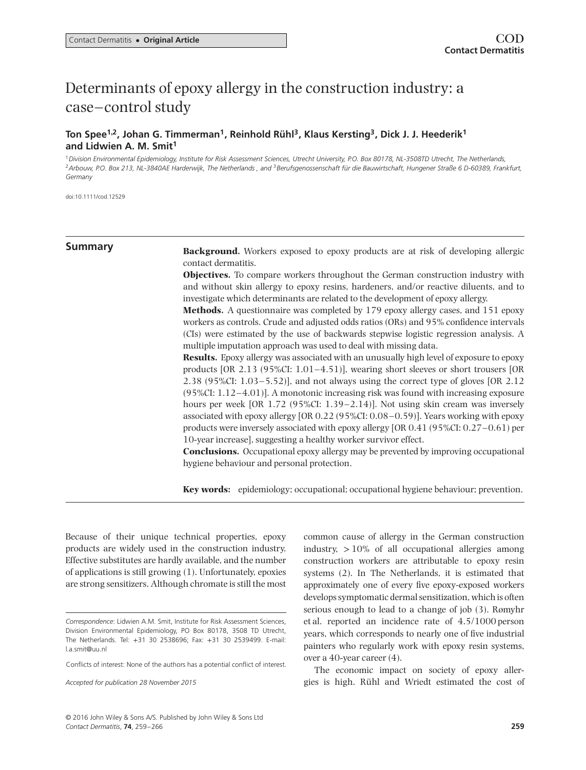# Determinants of epoxy allergy in the construction industry: a case–control study

# **Ton Spee1***,***2, Johan G. Timmerman1, Reinhold Rühl3, Klaus Kersting3, Dick J. J. Heederik1 and Lidwien A. M. Smit<sup>1</sup>**

<sup>1</sup>*Division Environmental Epidemiology, Institute for Risk Assessment Sciences, Utrecht University, P.O. Box 80178, NL-3508TD Utrecht, The Netherlands,* <sup>2</sup>*Arbouw, P.O. Box 213, NL-3840AE Harderwijk, The Netherlands , and* <sup>3</sup>*Berufsgenossenschaft für die Bauwirtschaft, Hungener Straße 6 D-60389, Frankfurt, Germany*

doi:10.1111/cod.12529

**Summary Background.** Workers exposed to epoxy products are at risk of developing allergic contact dermatitis.

> **Objectives.** To compare workers throughout the German construction industry with and without skin allergy to epoxy resins, hardeners, and/or reactive diluents, and to investigate which determinants are related to the development of epoxy allergy.

> **Methods.** A questionnaire was completed by 179 epoxy allergy cases, and 151 epoxy workers as controls. Crude and adjusted odds ratios (ORs) and 95% confidence intervals (CIs) were estimated by the use of backwards stepwise logistic regression analysis. A multiple imputation approach was used to deal with missing data.

> **Results.** Epoxy allergy was associated with an unusually high level of exposure to epoxy products [OR 2.13 (95%CI: 1.01–4.51)], wearing short sleeves or short trousers [OR 2.38 (95%CI: 1.03–5.52)], and not always using the correct type of gloves [OR 2.12 (95%CI: 1.12–4.01)]. A monotonic increasing risk was found with increasing exposure hours per week [OR 1.72 (95%CI: 1.39–2.14)]. Not using skin cream was inversely associated with epoxy allergy [OR 0.22 (95%CI: 0.08–0.59)]. Years working with epoxy products were inversely associated with epoxy allergy [OR 0.41 (95%CI: 0.27–0.61) per 10-year increase], suggesting a healthy worker survivor effect.

> **Conclusions.** Occupational epoxy allergy may be prevented by improving occupational hygiene behaviour and personal protection.

> **Key words:** epidemiology; occupational; occupational hygiene behaviour; prevention.

Because of their unique technical properties, epoxy products are widely used in the construction industry. Effective substitutes are hardly available, and the number of applications is still growing (1). Unfortunately, epoxies are strong sensitizers. Although chromate is still the most common cause of allergy in the German construction industry,  $>10\%$  of all occupational allergies among construction workers are attributable to epoxy resin systems (2). In The Netherlands, it is estimated that approximately one of every five epoxy-exposed workers develops symptomatic dermal sensitization, which is often serious enough to lead to a change of job (3). Rømyhr et al. reported an incidence rate of 4.5/1000 person years, which corresponds to nearly one of five industrial painters who regularly work with epoxy resin systems, over a 40-year career (4).

The economic impact on society of epoxy allergies is high. Rühl and Wriedt estimated the cost of

*Correspondence*: Lidwien A.M. Smit, Institute for Risk Assessment Sciences, Division Environmental Epidemiology, PO Box 80178, 3508 TD Utrecht, The Netherlands. Tel: +31 30 2538696; Fax: +31 30 2539499. E-mail: l.a.smit@uu.nl

Conflicts of interest: None of the authors has a potential conflict of interest.

*Accepted for publication 28 November 2015*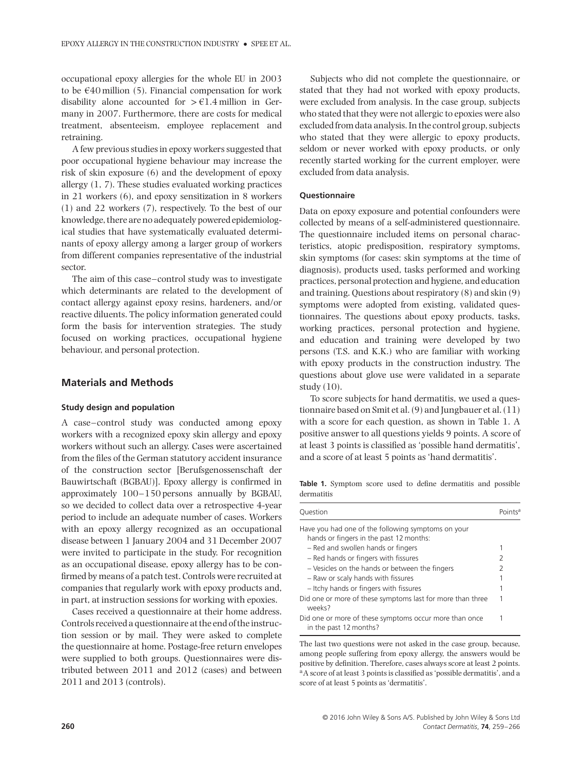occupational epoxy allergies for the whole EU in 2003 to be  $\epsilon$ 40 million (5). Financial compensation for work disability alone accounted for *>*€1.4 million in Germany in 2007. Furthermore, there are costs for medical treatment, absenteeism, employee replacement and retraining.

A few previous studies in epoxy workers suggested that poor occupational hygiene behaviour may increase the risk of skin exposure (6) and the development of epoxy allergy (1, 7). These studies evaluated working practices in 21 workers (6), and epoxy sensitization in 8 workers (1) and 22 workers (7), respectively. To the best of our knowledge, there are no adequately powered epidemiological studies that have systematically evaluated determinants of epoxy allergy among a larger group of workers from different companies representative of the industrial sector.

The aim of this case–control study was to investigate which determinants are related to the development of contact allergy against epoxy resins, hardeners, and/or reactive diluents. The policy information generated could form the basis for intervention strategies. The study focused on working practices, occupational hygiene behaviour, and personal protection.

# **Materials and Methods**

#### **Study design and population**

A case–control study was conducted among epoxy workers with a recognized epoxy skin allergy and epoxy workers without such an allergy. Cases were ascertained from the files of the German statutory accident insurance of the construction sector [Berufsgenossenschaft der Bauwirtschaft (BGBAU)]. Epoxy allergy is confirmed in approximately 100–150 persons annually by BGBAU, so we decided to collect data over a retrospective 4-year period to include an adequate number of cases. Workers with an epoxy allergy recognized as an occupational disease between 1 January 2004 and 31 December 2007 were invited to participate in the study. For recognition as an occupational disease, epoxy allergy has to be confirmed by means of a patch test. Controls were recruited at companies that regularly work with epoxy products and, in part, at instruction sessions for working with epoxies.

Cases received a questionnaire at their home address. Controls received a questionnaire at the end of the instruction session or by mail. They were asked to complete the questionnaire at home. Postage-free return envelopes were supplied to both groups. Questionnaires were distributed between 2011 and 2012 (cases) and between 2011 and 2013 (controls).

Subjects who did not complete the questionnaire, or stated that they had not worked with epoxy products, were excluded from analysis. In the case group, subjects who stated that they were not allergic to epoxies were also excluded from data analysis. In the control group, subjects who stated that they were allergic to epoxy products, seldom or never worked with epoxy products, or only recently started working for the current employer, were excluded from data analysis.

#### **Questionnaire**

Data on epoxy exposure and potential confounders were collected by means of a self-administered questionnaire. The questionnaire included items on personal characteristics, atopic predisposition, respiratory symptoms, skin symptoms (for cases: skin symptoms at the time of diagnosis), products used, tasks performed and working practices, personal protection and hygiene, and education and training. Questions about respiratory (8) and skin (9) symptoms were adopted from existing, validated questionnaires. The questions about epoxy products, tasks, working practices, personal protection and hygiene, and education and training were developed by two persons (T.S. and K.K.) who are familiar with working with epoxy products in the construction industry. The questions about glove use were validated in a separate study (10).

To score subjects for hand dermatitis, we used a questionnaire based on Smit et al. (9) and Jungbauer et al. (11) with a score for each question, as shown in Table 1. A positive answer to all questions yields 9 points. A score of at least 3 points is classified as 'possible hand dermatitis', and a score of at least 5 points as 'hand dermatitis'.

**Table 1.** Symptom score used to define dermatitis and possible dermatitis

| Question                                                                                      | Points <sup>a</sup> |
|-----------------------------------------------------------------------------------------------|---------------------|
| Have you had one of the following symptoms on your<br>hands or fingers in the past 12 months: |                     |
| - Red and swollen hands or fingers                                                            |                     |
| - Red hands or fingers with fissures                                                          | 2                   |
| - Vesicles on the hands or between the fingers                                                | 2                   |
| - Raw or scaly hands with fissures                                                            |                     |
| - Itchy hands or fingers with fissures                                                        |                     |
| Did one or more of these symptoms last for more than three<br>Weeks?                          |                     |
| Did one or more of these symptoms occur more than once<br>in the past 12 months?              |                     |

The last two questions were not asked in the case group, because, among people suffering from epoxy allergy, the answers would be positive by definition. Therefore, cases always score at least 2 points. aA score of at least 3 points is classified as 'possible dermatitis', and a score of at least 5 points as 'dermatitis'.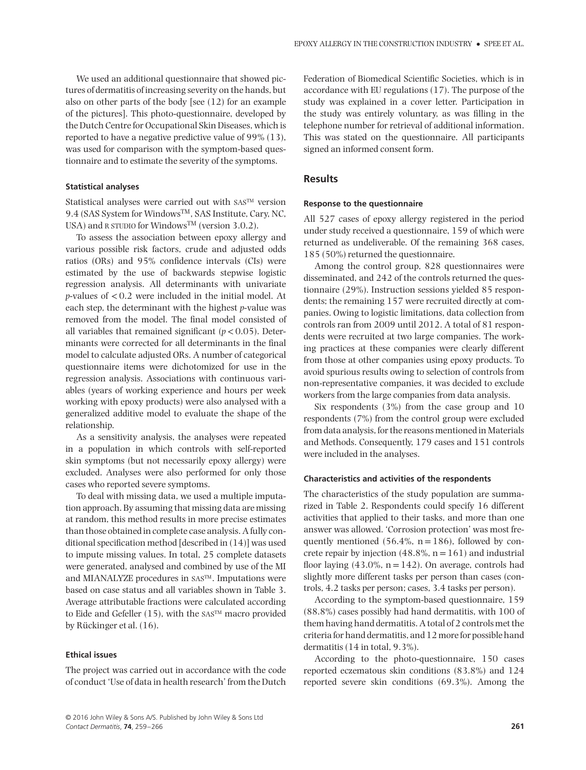We used an additional questionnaire that showed pictures of dermatitis of increasing severity on the hands, but also on other parts of the body [see (12) for an example of the pictures]. This photo-questionnaire, developed by the Dutch Centre for Occupational Skin Diseases, which is reported to have a negative predictive value of 99% (13), was used for comparison with the symptom-based questionnaire and to estimate the severity of the symptoms.

#### **Statistical analyses**

Statistical analyses were carried out with SASTM version 9.4 (SAS System for Windows™, SAS Institute, Cary, NC, USA) and R STUDIO for Windows<sup>TM</sup> (version 3.0.2).

To assess the association between epoxy allergy and various possible risk factors, crude and adjusted odds ratios (ORs) and 95% confidence intervals (CIs) were estimated by the use of backwards stepwise logistic regression analysis. All determinants with univariate *p*-values of *<*0.2 were included in the initial model. At each step, the determinant with the highest *p*-value was removed from the model. The final model consisted of all variables that remained significant  $(p < 0.05)$ . Determinants were corrected for all determinants in the final model to calculate adjusted ORs. A number of categorical questionnaire items were dichotomized for use in the regression analysis. Associations with continuous variables (years of working experience and hours per week working with epoxy products) were also analysed with a generalized additive model to evaluate the shape of the relationship.

As a sensitivity analysis, the analyses were repeated in a population in which controls with self-reported skin symptoms (but not necessarily epoxy allergy) were excluded. Analyses were also performed for only those cases who reported severe symptoms.

To deal with missing data, we used a multiple imputation approach. By assuming that missing data are missing at random, this method results in more precise estimates than those obtained in complete case analysis. A fully conditional specification method [described in (14)] was used to impute missing values. In total, 25 complete datasets were generated, analysed and combined by use of the MI and MIANALYZE procedures in SASTM. Imputations were based on case status and all variables shown in Table 3. Average attributable fractions were calculated according to Eide and Gefeller  $(15)$ , with the SAS<sup>TM</sup> macro provided by Rückinger et al. (16).

#### **Ethical issues**

The project was carried out in accordance with the code of conduct 'Use of data in health research' from the Dutch Federation of Biomedical Scientific Societies, which is in accordance with EU regulations (17). The purpose of the study was explained in a cover letter. Participation in the study was entirely voluntary, as was filling in the telephone number for retrieval of additional information. This was stated on the questionnaire. All participants signed an informed consent form.

# **Results**

## **Response to the questionnaire**

All 527 cases of epoxy allergy registered in the period under study received a questionnaire, 159 of which were returned as undeliverable. Of the remaining 368 cases, 185 (50%) returned the questionnaire.

Among the control group, 828 questionnaires were disseminated, and 242 of the controls returned the questionnaire (29%). Instruction sessions yielded 85 respondents; the remaining 157 were recruited directly at companies. Owing to logistic limitations, data collection from controls ran from 2009 until 2012. A total of 81 respondents were recruited at two large companies. The working practices at these companies were clearly different from those at other companies using epoxy products. To avoid spurious results owing to selection of controls from non-representative companies, it was decided to exclude workers from the large companies from data analysis.

Six respondents (3%) from the case group and 10 respondents (7%) from the control group were excluded from data analysis, for the reasons mentioned in Materials and Methods. Consequently, 179 cases and 151 controls were included in the analyses.

#### **Characteristics and activities of the respondents**

The characteristics of the study population are summarized in Table 2. Respondents could specify 16 different activities that applied to their tasks, and more than one answer was allowed. 'Corrosion protection' was most frequently mentioned (56.4%,  $n=186$ ), followed by concrete repair by injection  $(48.8\% , n=161)$  and industrial floor laying  $(43.0\% , n=142)$ . On average, controls had slightly more different tasks per person than cases (controls, 4.2 tasks per person; cases, 3.4 tasks per person).

According to the symptom-based questionnaire, 159 (88.8%) cases possibly had hand dermatitis, with 100 of them having hand dermatitis. A total of 2 controls met the criteria for hand dermatitis, and 12 more for possible hand dermatitis (14 in total, 9.3%).

According to the photo-questionnaire, 150 cases reported eczematous skin conditions (83.8%) and 124 reported severe skin conditions (69.3%). Among the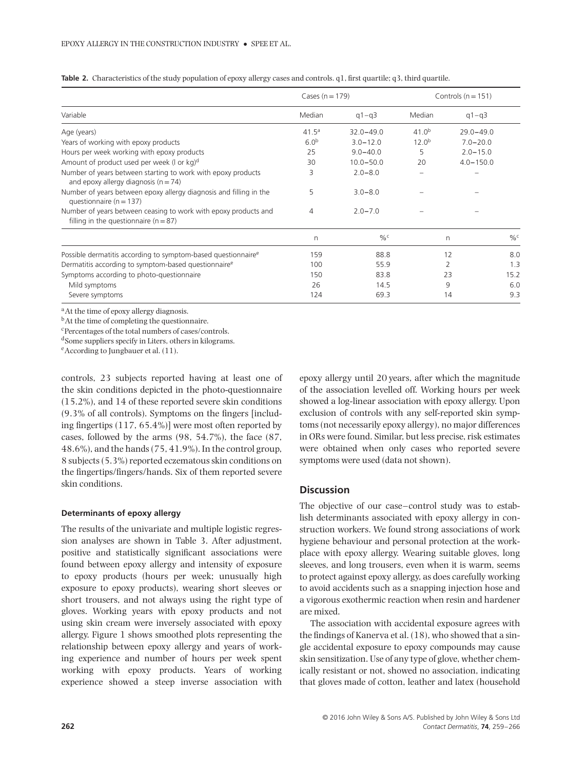|                                                                                                              | Cases $(n = 179)$ |               | Controls ( $n = 151$ ) |               |               |
|--------------------------------------------------------------------------------------------------------------|-------------------|---------------|------------------------|---------------|---------------|
| Variable                                                                                                     | Median            | $q1 - q3$     | Median                 | $q1 - q3$     |               |
| Age (years)                                                                                                  | 41.5 <sup>a</sup> | $32.0 - 49.0$ | 41.0 <sup>b</sup>      | $29.0 - 49.0$ |               |
| Years of working with epoxy products                                                                         | 6.0 <sup>b</sup>  | $3.0 - 12.0$  | $12.0^{b}$             | $7.0 - 20.0$  |               |
| Hours per week working with epoxy products                                                                   | 25                | $9.0 - 40.0$  | 5                      | $2.0 - 15.0$  |               |
| Amount of product used per week (I or kg)d                                                                   | 30                | $10.0 - 50.0$ | 20                     | $4.0 - 150.0$ |               |
| Number of years between starting to work with epoxy products<br>and epoxy allergy diagnosis ( $n = 74$ )     | 3                 | $2.0 - 8.0$   |                        |               |               |
| Number of years between epoxy allergy diagnosis and filling in the<br>questionnaire ( $n = 137$ )            | 5                 | $3.0 - 8.0$   |                        |               |               |
| Number of years between ceasing to work with epoxy products and<br>filling in the questionnaire ( $n = 87$ ) | 4                 | $2.0 - 7.0$   |                        |               |               |
|                                                                                                              | n                 | $\frac{0}{6}$ |                        | n             | $\frac{0}{6}$ |
| Possible dermatitis according to symptom-based questionnaire <sup>e</sup>                                    | 159               | 88.8          |                        | 12            | 8.0           |
| Dermatitis according to symptom-based questionnaire <sup>e</sup>                                             | 100               | 55.9          |                        | 2             | 1.3           |
| Symptoms according to photo-questionnaire                                                                    | 150               | 83.8          |                        | 23            | 15.2          |
| Mild symptoms                                                                                                | 26                | 14.5          |                        | 9             | 6.0           |
| Severe symptoms                                                                                              | 124               | 69.3          |                        | 14            | 9.3           |

**Table 2.** Characteristics of the study population of epoxy allergy cases and controls. q1, first quartile; q3, third quartile.

<sup>a</sup>At the time of epoxy allergy diagnosis.

<sup>b</sup>At the time of completing the questionnaire.

cPercentages of the total numbers of cases/controls.

dSome suppliers specify in Liters, others in kilograms.

eAccording to Jungbauer et al. (11).

controls, 23 subjects reported having at least one of the skin conditions depicted in the photo-questionnaire (15.2%), and 14 of these reported severe skin conditions (9.3% of all controls). Symptoms on the fingers [including fingertips (117, 65.4%)] were most often reported by cases, followed by the arms (98, 54.7%), the face (87, 48.6%), and the hands (75, 41.9%). In the control group, 8 subjects (5.3%) reported eczematous skin conditions on the fingertips/fingers/hands. Six of them reported severe skin conditions.

## **Determinants of epoxy allergy**

The results of the univariate and multiple logistic regression analyses are shown in Table 3. After adjustment, positive and statistically significant associations were found between epoxy allergy and intensity of exposure to epoxy products (hours per week; unusually high exposure to epoxy products), wearing short sleeves or short trousers, and not always using the right type of gloves. Working years with epoxy products and not using skin cream were inversely associated with epoxy allergy. Figure 1 shows smoothed plots representing the relationship between epoxy allergy and years of working experience and number of hours per week spent working with epoxy products. Years of working experience showed a steep inverse association with

epoxy allergy until 20 years, after which the magnitude of the association levelled off. Working hours per week showed a log-linear association with epoxy allergy. Upon exclusion of controls with any self-reported skin symptoms (not necessarily epoxy allergy), no major differences in ORs were found. Similar, but less precise, risk estimates were obtained when only cases who reported severe symptoms were used (data not shown).

# **Discussion**

The objective of our case–control study was to establish determinants associated with epoxy allergy in construction workers. We found strong associations of work hygiene behaviour and personal protection at the workplace with epoxy allergy. Wearing suitable gloves, long sleeves, and long trousers, even when it is warm, seems to protect against epoxy allergy, as does carefully working to avoid accidents such as a snapping injection hose and a vigorous exothermic reaction when resin and hardener are mixed.

The association with accidental exposure agrees with the findings of Kanerva et al. (18), who showed that a single accidental exposure to epoxy compounds may cause skin sensitization. Use of any type of glove, whether chemically resistant or not, showed no association, indicating that gloves made of cotton, leather and latex (household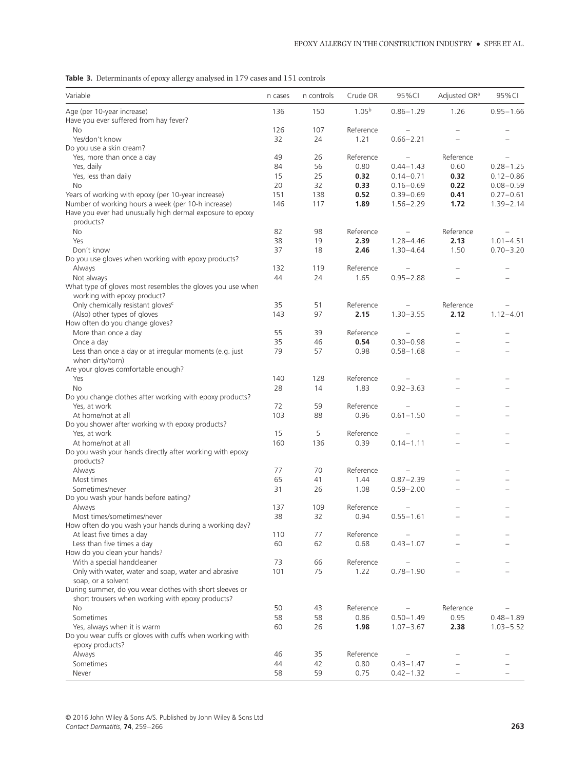**Table 3.** Determinants of epoxy allergy analysed in 179 cases and 151 controls

| Variable                                                                                                                     | n cases | n controls | Crude OR          | 95%CI         | Adjusted OR <sup>a</sup> | 95%CI         |
|------------------------------------------------------------------------------------------------------------------------------|---------|------------|-------------------|---------------|--------------------------|---------------|
| Age (per 10-year increase)                                                                                                   | 136     | 150        | 1.05 <sup>b</sup> | $0.86 - 1.29$ | 1.26                     | $0.95 - 1.66$ |
| Have you ever suffered from hay fever?                                                                                       |         |            |                   |               |                          |               |
| <b>No</b>                                                                                                                    | 126     | 107        | Reference         |               |                          |               |
| Yes/don't know                                                                                                               | 32      | 24         | 1.21              | $0.66 - 2.21$ |                          |               |
| Do you use a skin cream?                                                                                                     |         |            |                   |               |                          |               |
| Yes, more than once a day                                                                                                    | 49      | 26         | Reference         |               | Reference                |               |
| Yes, daily                                                                                                                   | 84      | 56         | 0.80              | $0.44 - 1.43$ | 0.60                     | $0.28 - 1.25$ |
| Yes, less than daily                                                                                                         | 15      | 25         | 0.32              | $0.14 - 0.71$ | 0.32                     | $0.12 - 0.86$ |
| No                                                                                                                           | 20      | 32         | 0.33              | $0.16 - 0.69$ | 0.22                     | $0.08 - 0.59$ |
| Years of working with epoxy (per 10-year increase)                                                                           | 151     | 138        | 0.52              | $0.39 - 0.69$ | 0.41                     | $0.27 - 0.61$ |
| Number of working hours a week (per 10-h increase)<br>Have you ever had unusually high dermal exposure to epoxy<br>products? | 146     | 117        | 1.89              | $1.56 - 2.29$ | 1.72                     | $1.39 - 2.14$ |
| <b>No</b>                                                                                                                    | 82      | 98         | Reference         |               | Reference                |               |
| Yes                                                                                                                          | 38      | 19         | 2.39              | $1.28 - 4.46$ | 2.13                     | $1.01 - 4.51$ |
| Don't know                                                                                                                   | 37      | 18         | 2.46              | $1.30 - 4.64$ | 1.50                     | $0.70 - 3.20$ |
| Do you use gloves when working with epoxy products?                                                                          |         |            |                   |               |                          |               |
| Always                                                                                                                       | 132     | 119        | Reference         |               |                          |               |
| Not always                                                                                                                   | 44      | 24         | 1.65              | $0.95 - 2.88$ |                          |               |
| What type of gloves most resembles the gloves you use when                                                                   |         |            |                   |               |                          |               |
| working with epoxy product?                                                                                                  |         |            |                   |               |                          |               |
| Only chemically resistant gloves <sup>c</sup>                                                                                | 35      | 51         | Reference         |               | Reference                |               |
| (Also) other types of gloves                                                                                                 | 143     | 97         | 2.15              | $1.30 - 3.55$ | 2.12                     | $1.12 - 4.01$ |
| How often do you change gloves?                                                                                              |         |            |                   |               |                          |               |
| More than once a day                                                                                                         | 55      | 39         | Reference         |               |                          |               |
| Once a day                                                                                                                   | 35      | 46         | 0.54              | $0.30 - 0.98$ |                          |               |
| Less than once a day or at irregular moments (e.g. just                                                                      | 79      | 57         | 0.98              | $0.58 - 1.68$ |                          |               |
| when dirty/torn)                                                                                                             |         |            |                   |               |                          |               |
| Are your gloves comfortable enough?                                                                                          |         |            |                   |               |                          |               |
| Yes                                                                                                                          | 140     | 128        | Reference         |               |                          |               |
| No                                                                                                                           | 28      | 14         | 1.83              | $0.92 - 3.63$ |                          |               |
| Do you change clothes after working with epoxy products?                                                                     |         |            |                   |               |                          |               |
| Yes, at work                                                                                                                 | 72      | 59         | Reference         |               |                          |               |
| At home/not at all                                                                                                           | 103     | 88         | 0.96              | $0.61 - 1.50$ |                          |               |
| Do you shower after working with epoxy products?                                                                             |         |            |                   |               |                          |               |
| Yes, at work                                                                                                                 | 15      | 5          | Reference         |               |                          |               |
| At home/not at all                                                                                                           | 160     | 136        | 0.39              | $0.14 - 1.11$ |                          |               |
| Do you wash your hands directly after working with epoxy                                                                     |         |            |                   |               |                          |               |
| products?                                                                                                                    |         |            |                   |               |                          |               |
| Always                                                                                                                       | 77      | 70         | Reference         |               |                          |               |
| Most times                                                                                                                   | 65      | 41         | 1.44              | $0.87 - 2.39$ |                          |               |
| Sometimes/never                                                                                                              | 31      | 26         | 1.08              | $0.59 - 2.00$ |                          |               |
| Do you wash your hands before eating?                                                                                        |         |            |                   |               |                          |               |
| Always                                                                                                                       | 137     | 109        | Reference         |               |                          |               |
| Most times/sometimes/never                                                                                                   | 38      | 32         | 0.94              | $0.55 - 1.61$ |                          |               |
| How often do you wash your hands during a working day?                                                                       |         |            |                   |               |                          |               |
| At least five times a day                                                                                                    | 110     | 77         | Reference         |               |                          |               |
| Less than five times a day                                                                                                   | 60      | 62         | 0.68              | $0.43 - 1.07$ |                          |               |
| How do you clean your hands?                                                                                                 |         |            |                   |               |                          |               |
| With a special handcleaner                                                                                                   | 73      | 66         | Reference         |               |                          |               |
| Only with water, water and soap, water and abrasive                                                                          | 101     | 75         | 1.22              | $0.78 - 1.90$ |                          |               |
| soap, or a solvent                                                                                                           |         |            |                   |               |                          |               |
| During summer, do you wear clothes with short sleeves or                                                                     |         |            |                   |               |                          |               |
| short trousers when working with epoxy products?                                                                             |         |            |                   |               |                          |               |
| <b>No</b>                                                                                                                    | 50      | 43         | Reference         |               | Reference                |               |
| Sometimes                                                                                                                    | 58      | 58         | 0.86              | $0.50 - 1.49$ | 0.95                     | $0.48 - 1.89$ |
| Yes, always when it is warm                                                                                                  | 60      | 26         | 1.98              | $1.07 - 3.67$ | 2.38                     | $1.03 - 5.52$ |
| Do you wear cuffs or gloves with cuffs when working with                                                                     |         |            |                   |               |                          |               |
| epoxy products?                                                                                                              |         |            |                   |               |                          |               |
| Always                                                                                                                       | 46      | 35         | Reference         |               |                          |               |
| Sometimes                                                                                                                    | 44      | 42         | 0.80              | $0.43 - 1.47$ |                          |               |
| Never                                                                                                                        | 58      | 59         | 0.75              | $0.42 - 1.32$ |                          |               |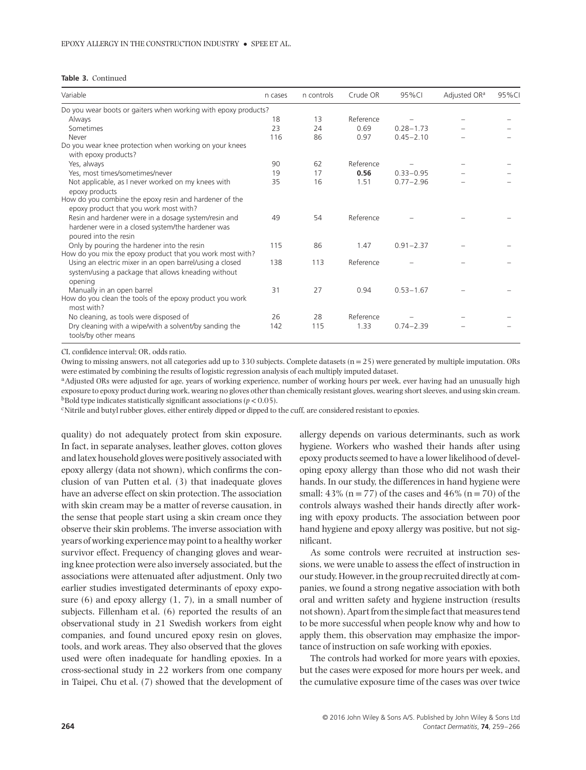| <b>Table 3. Continued</b> |  |
|---------------------------|--|
|---------------------------|--|

| Variable                                                                                                                                                                   | n cases | n controls | Crude OR  | 95%CI         | Adjusted OR <sup>a</sup> | 95%CI |
|----------------------------------------------------------------------------------------------------------------------------------------------------------------------------|---------|------------|-----------|---------------|--------------------------|-------|
| Do you wear boots or gaiters when working with epoxy products?                                                                                                             |         |            |           |               |                          |       |
| Always                                                                                                                                                                     | 18      | 13         | Reference |               |                          |       |
| Sometimes                                                                                                                                                                  | 23      | 24         | 0.69      | $0.28 - 1.73$ |                          |       |
| Never                                                                                                                                                                      | 116     | 86         | 0.97      | $0.45 - 2.10$ |                          |       |
| Do you wear knee protection when working on your knees<br>with epoxy products?                                                                                             |         |            |           |               |                          |       |
| Yes, always                                                                                                                                                                | 90      | 62         | Reference |               |                          |       |
| Yes, most times/sometimes/never                                                                                                                                            | 19      | 17         | 0.56      | $0.33 - 0.95$ |                          |       |
| Not applicable, as I never worked on my knees with                                                                                                                         | 35      | 16         | 1.51      | $0.77 - 2.96$ |                          |       |
| epoxy products<br>How do you combine the epoxy resin and hardener of the<br>epoxy product that you work most with?<br>Resin and hardener were in a dosage system/resin and | 49      | 54         | Reference |               |                          |       |
| hardener were in a closed system/the hardener was<br>poured into the resin                                                                                                 |         |            |           |               |                          |       |
| Only by pouring the hardener into the resin<br>How do you mix the epoxy product that you work most with?                                                                   | 115     | 86         | 1.47      | $0.91 - 2.37$ |                          |       |
| Using an electric mixer in an open barrel/using a closed<br>system/using a package that allows kneading without<br>opening                                                 | 138     | 113        | Reference |               |                          |       |
| Manually in an open barrel<br>How do you clean the tools of the epoxy product you work<br>most with?                                                                       | 31      | 27         | 0.94      | $0.53 - 1.67$ |                          |       |
| No cleaning, as tools were disposed of                                                                                                                                     | 26      | 28         | Reference |               |                          |       |
| Dry cleaning with a wipe/with a solvent/by sanding the<br>tools/by other means                                                                                             | 142     | 115        | 1.33      | $0.74 - 2.39$ |                          |       |

CI, confidence interval; OR, odds ratio.

Owing to missing answers, not all categories add up to 330 subjects. Complete datasets  $(n=25)$  were generated by multiple imputation. ORs were estimated by combining the results of logistic regression analysis of each multiply imputed dataset.

<sup>a</sup>Adjusted ORs were adjusted for age, years of working experience, number of working hours per week, ever having had an unusually high exposure to epoxy product during work, wearing no gloves other than chemically resistant gloves, wearing short sleeves, and using skin cream.  $b$ Bold type indicates statistically significant associations ( $p$  < 0.05).

<sup>c</sup>Nitrile and butyl rubber gloves, either entirely dipped or dipped to the cuff, are considered resistant to epoxies.

quality) do not adequately protect from skin exposure. In fact, in separate analyses, leather gloves, cotton gloves and latex household gloves were positively associated with epoxy allergy (data not shown), which confirms the conclusion of van Putten et al. (3) that inadequate gloves have an adverse effect on skin protection. The association with skin cream may be a matter of reverse causation, in the sense that people start using a skin cream once they observe their skin problems. The inverse association with years of working experience may point to a healthy worker survivor effect. Frequency of changing gloves and wearing knee protection were also inversely associated, but the associations were attenuated after adjustment. Only two earlier studies investigated determinants of epoxy exposure (6) and epoxy allergy (1, 7), in a small number of subjects. Fillenham et al. (6) reported the results of an observational study in 21 Swedish workers from eight companies, and found uncured epoxy resin on gloves, tools, and work areas. They also observed that the gloves used were often inadequate for handling epoxies. In a cross-sectional study in 22 workers from one company in Taipei, Chu et al. (7) showed that the development of allergy depends on various determinants, such as work hygiene. Workers who washed their hands after using epoxy products seemed to have a lower likelihood of developing epoxy allergy than those who did not wash their hands. In our study, the differences in hand hygiene were small:  $43\%$  (n = 77) of the cases and  $46\%$  (n = 70) of the controls always washed their hands directly after working with epoxy products. The association between poor hand hygiene and epoxy allergy was positive, but not significant.

As some controls were recruited at instruction sessions, we were unable to assess the effect of instruction in our study. However, in the group recruited directly at companies, we found a strong negative association with both oral and written safety and hygiene instruction (results not shown). Apart from the simple fact that measures tend to be more successful when people know why and how to apply them, this observation may emphasize the importance of instruction on safe working with epoxies.

The controls had worked for more years with epoxies, but the cases were exposed for more hours per week, and the cumulative exposure time of the cases was over twice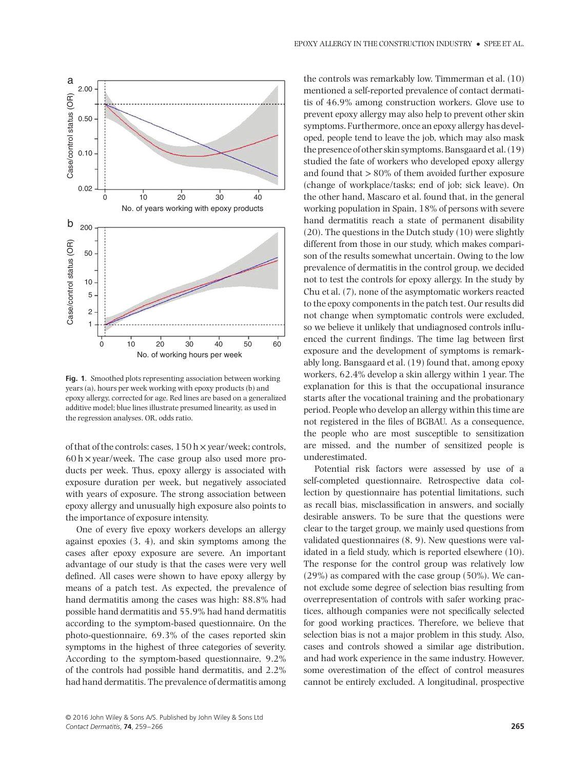

**Fig. 1**. Smoothed plots representing association between working years (a), hours per week working with epoxy products (b) and epoxy allergy, corrected for age. Red lines are based on a generalized additive model; blue lines illustrate presumed linearity, as used in the regression analyses. OR, odds ratio.

of that of the controls: cases,  $150 \text{ h} \times \text{year}/\text{week}$ ; controls,  $60 h \times$  year/week. The case group also used more products per week. Thus, epoxy allergy is associated with exposure duration per week, but negatively associated with years of exposure. The strong association between epoxy allergy and unusually high exposure also points to the importance of exposure intensity.

One of every five epoxy workers develops an allergy against epoxies (3, 4), and skin symptoms among the cases after epoxy exposure are severe. An important advantage of our study is that the cases were very well defined. All cases were shown to have epoxy allergy by means of a patch test. As expected, the prevalence of hand dermatitis among the cases was high: 88.8% had possible hand dermatitis and 55.9% had hand dermatitis according to the symptom-based questionnaire. On the photo-questionnaire, 69.3% of the cases reported skin symptoms in the highest of three categories of severity. According to the symptom-based questionnaire, 9.2% of the controls had possible hand dermatitis, and 2.2% had hand dermatitis. The prevalence of dermatitis among the controls was remarkably low. Timmerman et al. (10) mentioned a self-reported prevalence of contact dermatitis of 46.9% among construction workers. Glove use to prevent epoxy allergy may also help to prevent other skin symptoms. Furthermore, once an epoxy allergy has developed, people tend to leave the job, which may also mask the presence of other skin symptoms. Bansgaard et al. (19) studied the fate of workers who developed epoxy allergy and found that *>*80% of them avoided further exposure (change of workplace/tasks; end of job; sick leave). On the other hand, Mascaro et al. found that, in the general working population in Spain, 18% of persons with severe hand dermatitis reach a state of permanent disability (20). The questions in the Dutch study (10) were slightly different from those in our study, which makes comparison of the results somewhat uncertain. Owing to the low prevalence of dermatitis in the control group, we decided not to test the controls for epoxy allergy. In the study by Chu et al. (7), none of the asymptomatic workers reacted to the epoxy components in the patch test. Our results did not change when symptomatic controls were excluded, so we believe it unlikely that undiagnosed controls influenced the current findings. The time lag between first exposure and the development of symptoms is remarkably long. Bansgaard et al. (19) found that, among epoxy workers, 62.4% develop a skin allergy within 1 year. The explanation for this is that the occupational insurance starts after the vocational training and the probationary period. People who develop an allergy within this time are not registered in the files of BGBAU. As a consequence, the people who are most susceptible to sensitization are missed, and the number of sensitized people is underestimated.

Potential risk factors were assessed by use of a self-completed questionnaire. Retrospective data collection by questionnaire has potential limitations, such as recall bias, misclassification in answers, and socially desirable answers. To be sure that the questions were clear to the target group, we mainly used questions from validated questionnaires (8, 9). New questions were validated in a field study, which is reported elsewhere (10). The response for the control group was relatively low (29%) as compared with the case group (50%). We cannot exclude some degree of selection bias resulting from overrepresentation of controls with safer working practices, although companies were not specifically selected for good working practices. Therefore, we believe that selection bias is not a major problem in this study. Also, cases and controls showed a similar age distribution, and had work experience in the same industry. However, some overestimation of the effect of control measures cannot be entirely excluded. A longitudinal, prospective